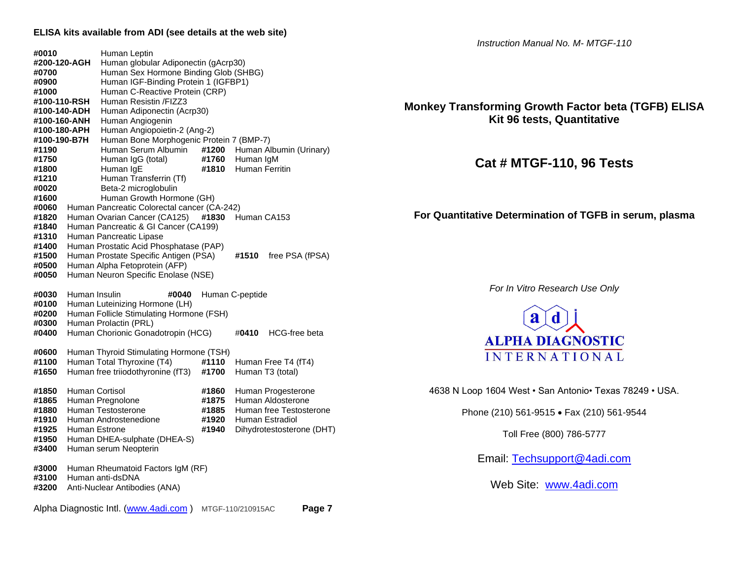**#0010** Human Leptin **#200-120-AGH** Human globular Adiponectin (gAcrp30) **#0700** Human Sex Hormone Binding Glob (SHBG) **#0900** Human IGF-Binding Protein 1 (IGFBP1) **#1000** Human C-Reactive Protein (CRP) **#100-110-RSH** Human Resistin /FIZZ3 **#100-140-ADH** Human Adiponectin (Acrp30) **#100-160-ANH** Human Angiogenin **#100-180-APH** Human Angiopoietin-2 (Ang-2) **#100-190-B7H** Human Bone Morphogenic Protein 7 (BMP-7) **#1190** Human Serum Albumin **#1200** Human Albumin (Urinary) **#1750** Human IgG (total) **#1760** Human IgM **#1800** Human IgE **#1810** Human Ferritin **#1210** Human Transferrin (Tf) **#0020** Beta-2 microglobulin **#1600** Human Growth Hormone (GH) **#0060** Human Pancreatic Colorectal cancer (CA-242) **#1820** Human Ovarian Cancer (CA125) **#1830** Human CA153 **#1840** Human Pancreatic & GI Cancer (CA199) **#1310** Human Pancreatic Lipase **#1400** Human Prostatic Acid Phosphatase (PAP) **#1500** Human Prostate Specific Antigen (PSA) **#1510** free PSA (fPSA) **#0500** Human Alpha Fetoprotein (AFP) **#0050** Human Neuron Specific Enolase (NSE) **#0030** Human Insulin **#0040** Human C-peptide **#0100** Human Luteinizing Hormone (LH) **#0200** Human Follicle Stimulating Hormone (FSH) **#0300** Human Prolactin (PRL) **#0400** Human Chorionic Gonadotropin (HCG) #**0410** HCG-free beta **#0600** Human Thyroid Stimulating Hormone (TSH) **#1100** Human Total Thyroxine (T4) **#1110** Human Free T4 (fT4) **#1650** Human free triiodothyronine (fT3) **#1700** Human T3 (total) **#1850** Human Cortisol **#1860** Human Progesterone **#1865** Human Pregnolone **#1875** Human Aldosterone **#1880** Human Testosterone **#1885** Human free Testosterone **#1910** Human Androstenedione **#1920** Human Estradiol **#1925** Human Estrone **#1940** Dihydrotestosterone (DHT) **#1950** Human DHEA-sulphate (DHEA-S) **#3400** Human serum Neopterin **#3000** Human Rheumatoid Factors IgM (RF) **#3100** Human anti-dsDNA

**#3200** Anti-Nuclear Antibodies (ANA)

Alpha Diagnostic Intl. [\(www.4adi.com](http://www.4adi.com/) ) MTGF-110/210915AC **Page 7**

*Instruction Manual No. M- MTGF-110*

# **Monkey Transforming Growth Factor beta (TGFB) ELISA Kit 96 tests, Quantitative**

# **Cat # MTGF-110, 96 Tests**

**For Quantitative Determination of TGFB in serum, plasma**

*For In Vitro Research Use Only*



4638 N Loop 1604 West • San Antonio• Texas 78249 • USA.

Phone (210) 561-9515 • Fax (210) 561-9544

Toll Free (800) 786-5777

Email: [Techsupport@4adi.com](mailto:Techsupport@4adi.com)

Web Site: [www.4adi.com](http://www.4adi.com/)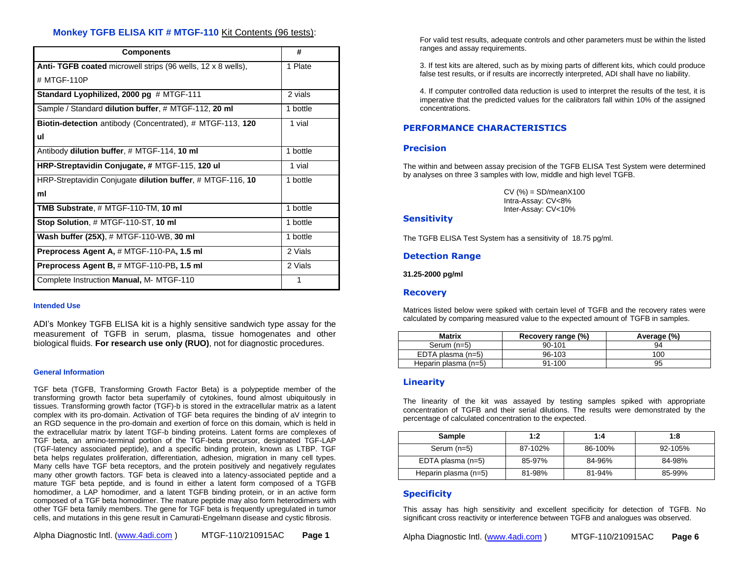# **Monkey TGFB ELISA KIT # MTGF-110** Kit Contents (96 tests):

| <b>Components</b>                                                   | #        |
|---------------------------------------------------------------------|----------|
| <b>Anti- TGFB coated microwell strips (96 wells, 12 x 8 wells),</b> | 1 Plate  |
| # MTGF-110P                                                         |          |
| Standard Lyophilized, 2000 pg # MTGF-111                            | 2 vials  |
| Sample / Standard dilution buffer, # MTGF-112, 20 ml                | 1 bottle |
| <b>Biotin-detection</b> antibody (Concentrated), # MTGF-113, 120    | 1 vial   |
| ul                                                                  |          |
| Antibody dilution buffer, # MTGF-114, 10 ml                         | 1 bottle |
| HRP-Streptavidin Conjugate, # MTGF-115, 120 ul                      | 1 vial   |
| HRP-Streptavidin Conjugate dilution buffer, # MTGF-116, 10          | 1 bottle |
| ml                                                                  |          |
| TMB Substrate, # MTGF-110-TM, 10 ml                                 | 1 bottle |
| Stop Solution, # MTGF-110-ST, 10 ml                                 | 1 bottle |
| Wash buffer (25X), # MTGF-110-WB, 30 ml                             | 1 bottle |
| Preprocess Agent A, # MTGF-110-PA, 1.5 ml                           | 2 Vials  |
| Preprocess Agent B, # MTGF-110-PB, 1.5 ml                           | 2 Vials  |
| Complete Instruction Manual, M- MTGF-110                            |          |

#### **Intended Use**

ADI's Monkey TGFB ELISA kit is a highly sensitive sandwich type assay for the measurement of TGFB in serum, plasma, tissue homogenates and other biological fluids. **For research use only (RUO)**, not for diagnostic procedures.

#### **General Information**

TGF beta (TGFB, Transforming Growth Factor Beta) is a polypeptide member of the transforming growth factor beta superfamily of cytokines, found almost ubiquitously in tissues. Transforming growth factor (TGF)-b is stored in the extracellular matrix as a latent complex with its pro-domain. Activation of TGF beta requires the binding of aV integrin to an RGD sequence in the pro-domain and exertion of force on this domain, which is held in the extracellular matrix by latent TGF-b binding proteins. Latent forms are complexes of TGF beta, an amino-terminal portion of the TGF-beta precursor, designated TGF-LAP (TGF-latency associated peptide), and a specific binding protein, known as LTBP. TGF beta helps regulates proliferation, differentiation, adhesion, migration in many cell types. Many cells have TGF beta receptors, and the protein positively and negatively regulates many other growth factors. TGF beta is cleaved into a latency-associated peptide and a mature TGF beta peptide, and is found in either a latent form composed of a TGFB homodimer, a LAP homodimer, and a latent TGFB binding protein, or in an active form composed of a TGF beta homodimer. The mature peptide may also form heterodimers with other TGF beta family members. The gene for TGF beta is frequently upregulated in tumor cells, and mutations in this gene result in Camurati-Engelmann disease and cystic fibrosis.

For valid test results, adequate controls and other parameters must be within the listed ranges and assay requirements.

3. If test kits are altered, such as by mixing parts of different kits, which could produce false test results, or if results are incorrectly interpreted, ADI shall have no liability.

4. If computer controlled data reduction is used to interpret the results of the test, it is imperative that the predicted values for the calibrators fall within 10% of the assigned concentrations.

# **PERFORMANCE CHARACTERISTICS**

# **Precision**

The within and between assay precision of the TGFB ELISA Test System were determined by analyses on three 3 samples with low, middle and high level TGFB.

> CV (%) = SD/meanX100 Intra-Assay: CV<8% Inter-Assay: CV<10%

## **Sensitivity**

The TGFB ELISA Test System has a sensitivity of 18.75 pg/ml.

### **Detection Range**

**31.25-2000 pg/ml**

### **Recovery**

Matrices listed below were spiked with certain level of TGFB and the recovery rates were calculated by comparing measured value to the expected amount of TGFB in samples.

| <b>Matrix</b>        | Recovery range (%) | Average (%) |
|----------------------|--------------------|-------------|
| Serum $(n=5)$        | 90-101             | 94          |
| EDTA plasma (n=5)    | 96-103             | 100         |
| Heparin plasma (n=5) | 91-100             | 95          |

## **Linearity**

The linearity of the kit was assayed by testing samples spiked with appropriate concentration of TGFB and their serial dilutions. The results were demonstrated by the percentage of calculated concentration to the expected.

| Sample               | 1:2     | 1:4        | 1:8     |
|----------------------|---------|------------|---------|
| Serum (n=5)          | 87-102% | 86-100%    | 92-105% |
| EDTA plasma (n=5)    | 85-97%  | 84-96%     | 84-98%  |
| Heparin plasma (n=5) | 81-98%  | $81 - 94%$ | 85-99%  |

# **Specificity**

This assay has high sensitivity and excellent specificity for detection of TGFB. No significant cross reactivity or interference between TGFB and analogues was observed.

Alpha Diagnostic Intl. [\(www.4adi.com](http://www.4adi.com/) ) MTGF-110/210915AC **Page 6**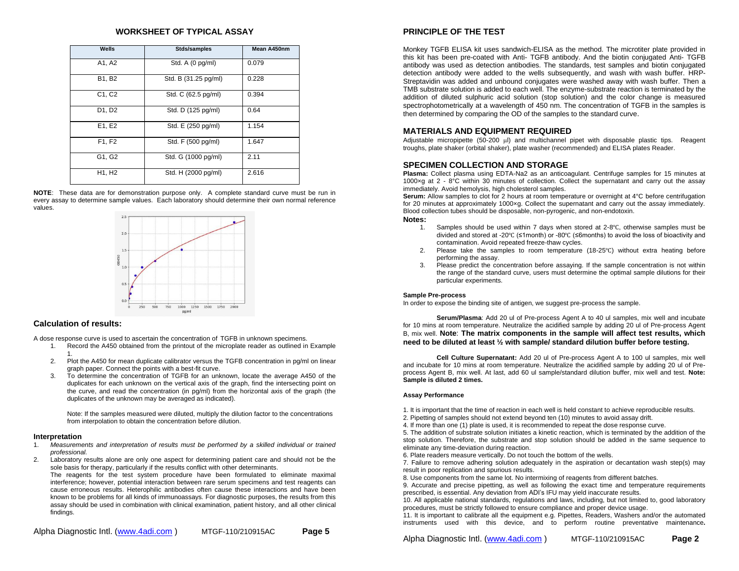### **WORKSHEET OF TYPICAL ASSAY**

| Wells                           | Stds/samples         | Mean A450nm |  |
|---------------------------------|----------------------|-------------|--|
| A1, A2                          | Std. A (0 pg/ml)     | 0.079       |  |
| B1, B2                          | Std. B (31.25 pg/ml) | 0.228       |  |
| C <sub>1</sub> , C <sub>2</sub> | Std. C (62.5 pg/ml)  | 0.394       |  |
| D1, D2                          | Std. D (125 pg/ml)   | 0.64        |  |
| E1, E2                          | Std. E (250 pg/ml)   | 1.154       |  |
| F1, F2                          | Std. F (500 pg/ml)   | 1.647       |  |
| G1, G2                          | Std. G (1000 pg/ml)  | 2.11        |  |
| H1, H2                          | Std. H (2000 pg/ml)  | 2.616       |  |

**NOTE**: These data are for demonstration purpose only. A complete standard curve must be run in every assay to determine sample values. Each laboratory should determine their own normal reference values.



#### **Calculation of results:**

A dose response curve is used to ascertain the concentration of TGFB in unknown specimens.

- 1. Record the A450 obtained from the printout of the microplate reader as outlined in Example 1.
- 2. Plot the A450 for mean duplicate calibrator versus the TGFB concentration in pg/ml on linear graph paper. Connect the points with a best-fit curve.
- 3. To determine the concentration of TGFB for an unknown, locate the average A450 of the duplicates for each unknown on the vertical axis of the graph, find the intersecting point on the curve, and read the concentration (in pg/ml) from the horizontal axis of the graph (the duplicates of the unknown may be averaged as indicated).

Note: If the samples measured were diluted, multiply the dilution factor to the concentrations from interpolation to obtain the concentration before dilution.

#### **Interpretation**

- 1. *Measurements and interpretation of results must be performed by a skilled individual or trained professional.*
- 2. Laboratory results alone are only one aspect for determining patient care and should not be the sole basis for therapy, particularly if the results conflict with other determinants.

The reagents for the test system procedure have been formulated to eliminate maximal interference; however, potential interaction between rare serum specimens and test reagents can cause erroneous results. Heterophilic antibodies often cause these interactions and have been known to be problems for all kinds of immunoassays*.* For diagnostic purposes, the results from this assay should be used in combination with clinical examination, patient history, and all other clinical findings.

| Alpha Diagnostic Intl. ( <u>www.4adi.com</u> ) | MTGF-110/210915AC | Page 5 |
|------------------------------------------------|-------------------|--------|
|------------------------------------------------|-------------------|--------|

# **PRINCIPLE OF THE TEST**

Monkey TGFB ELISA kit uses sandwich-ELISA as the method. The microtiter plate provided in this kit has been pre-coated with Anti- TGFB antibody. And the biotin conjugated Anti- TGFB antibody was used as detection antibodies. The standards, test samples and biotin conjugated detection antibody were added to the wells subsequently, and wash with wash buffer. HRP-Streptavidin was added and unbound conjugates were washed away with wash buffer. Then a TMB substrate solution is added to each well. The enzyme-substrate reaction is terminated by the addition of diluted sulphuric acid solution (stop solution) and the color change is measured spectrophotometrically at a wavelength of 450 nm. The concentration of TGFB in the samples is then determined by comparing the OD of the samples to the standard curve.

## **MATERIALS AND EQUIPMENT REQUIRED**

Adjustable micropipette  $(50-200 \text{ µ})$  and multichannel pipet with disposable plastic tips. Reagent troughs, plate shaker (orbital shaker), plate washer (recommended) and ELISA plates Reader.

#### **SPECIMEN COLLECTION AND STORAGE**

**Plasma:** Collect plasma using EDTA-Na2 as an anticoagulant. Centrifuge samples for 15 minutes at 1000×g at 2 - 8°C within 30 minutes of collection. Collect the supernatant and carry out the assay immediately. Avoid hemolysis, high cholesterol samples.

**Serum:** Allow samples to clot for 2 hours at room temperature or overnight at 4°C before centrifugation for 20 minutes at approximately 1000×g. Collect the supernatant and carry out the assay immediately. Blood collection tubes should be disposable, non-pyrogenic, and non-endotoxin.

#### **Notes:**

- 1. Samples should be used within 7 days when stored at 2-8℃, otherwise samples must be divided and stored at -20℃ (≤1month) or -80℃ (≤6months) to avoid the loss of bioactivity and contamination. Avoid repeated freeze-thaw cycles.
- 2. Please take the samples to room temperature (18-25℃) without extra heating before performing the assay.
- 3. Please predict the concentration before assaying. If the sample concentration is not within the range of the standard curve, users must determine the optimal sample dilutions for their particular experiments.

#### **Sample Pre-process**

In order to expose the binding site of antigen, we suggest pre-process the sample.

**Serum/Plasma**: Add 20 ul of Pre-process Agent A to 40 ul samples, mix well and incubate for 10 mins at room temperature. Neutralize the acidified sample by adding 20 ul of Pre-process Agent B, mix well. **Note**: **The matrix components in the sample will affect test results, which need to be diluted at least ½ with sample/ standard dilution buffer before testing.**

**Cell Culture Supernatant:** Add 20 ul of Pre-process Agent A to 100 ul samples, mix well and incubate for 10 mins at room temperature. Neutralize the acidified sample by adding 20 ul of Preprocess Agent B, mix well. At last, add 60 ul sample/standard dilution buffer, mix well and test. **Note: Sample is diluted 2 times.**

#### **Assay Performance**

1. It is important that the time of reaction in each well is held constant to achieve reproducible results.

- 2. Pipetting of samples should not extend beyond ten (10) minutes to avoid assay drift.
- 4. If more than one (1) plate is used, it is recommended to repeat the dose response curve.

5. The addition of substrate solution initiates a kinetic reaction, which is terminated by the addition of the stop solution. Therefore, the substrate and stop solution should be added in the same sequence to eliminate any time-deviation during reaction.

6. Plate readers measure vertically. Do not touch the bottom of the wells.

7. Failure to remove adhering solution adequately in the aspiration or decantation wash step(s) may result in poor replication and spurious results.

8. Use components from the same lot. No intermixing of reagents from different batches.

9. Accurate and precise pipetting, as well as following the exact time and temperature requirements prescribed, is essential. Any deviation from ADI's IFU may yield inaccurate results.

10. All applicable national standards, regulations and laws, including, but not limited to, good laboratory procedures, must be strictly followed to ensure compliance and proper device usage.

11. It is important to calibrate all the equipment e.g. Pipettes, Readers, Washers and/or the automated instruments used with this device, and to perform routine preventative maintenance**.**

Alpha Diagnostic Intl. [\(www.4adi.com](http://www.4adi.com/) ) MTGF-110/210915AC **Page 2**